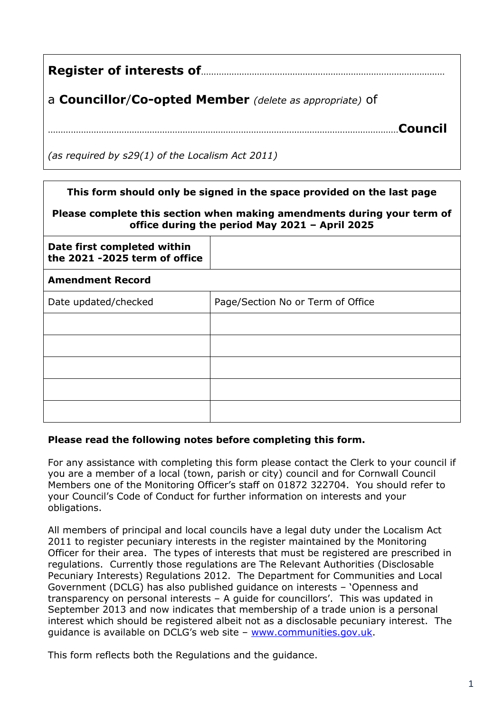| Register of interests of <b>measures</b> of the substitution of a set of the Register |  |  |  |
|---------------------------------------------------------------------------------------|--|--|--|
| a Councillor/Co-opted Member (delete as appropriate) of                               |  |  |  |
| Council                                                                               |  |  |  |
| (as required by s29(1) of the Localism Act 2011)                                      |  |  |  |

| This form should only be signed in the space provided on the last page                                                    |                                   |  |  |
|---------------------------------------------------------------------------------------------------------------------------|-----------------------------------|--|--|
| Please complete this section when making amendments during your term of<br>office during the period May 2021 - April 2025 |                                   |  |  |
| Date first completed within<br>the 2021 -2025 term of office                                                              |                                   |  |  |
| <b>Amendment Record</b>                                                                                                   |                                   |  |  |
| Date updated/checked                                                                                                      | Page/Section No or Term of Office |  |  |
|                                                                                                                           |                                   |  |  |
|                                                                                                                           |                                   |  |  |
|                                                                                                                           |                                   |  |  |
|                                                                                                                           |                                   |  |  |
|                                                                                                                           |                                   |  |  |

## **Please read the following notes before completing this form.**

For any assistance with completing this form please contact the Clerk to your council if you are a member of a local (town, parish or city) council and for Cornwall Council Members one of the Monitoring Officer's staff on 01872 322704. You should refer to your Council's Code of Conduct for further information on interests and your obligations.

All members of principal and local councils have a legal duty under the Localism Act 2011 to register pecuniary interests in the register maintained by the Monitoring Officer for their area. The types of interests that must be registered are prescribed in regulations. Currently those regulations are The Relevant Authorities (Disclosable Pecuniary Interests) Regulations 2012. The Department for Communities and Local Government (DCLG) has also published guidance on interests – 'Openness and transparency on personal interests – A guide for councillors'. This was updated in September 2013 and now indicates that membership of a trade union is a personal interest which should be registered albeit not as a disclosable pecuniary interest. The guidance is available on DCLG's web site – [www.communities.gov.uk.](http://www.communities.gov.uk/)

This form reflects both the Regulations and the guidance.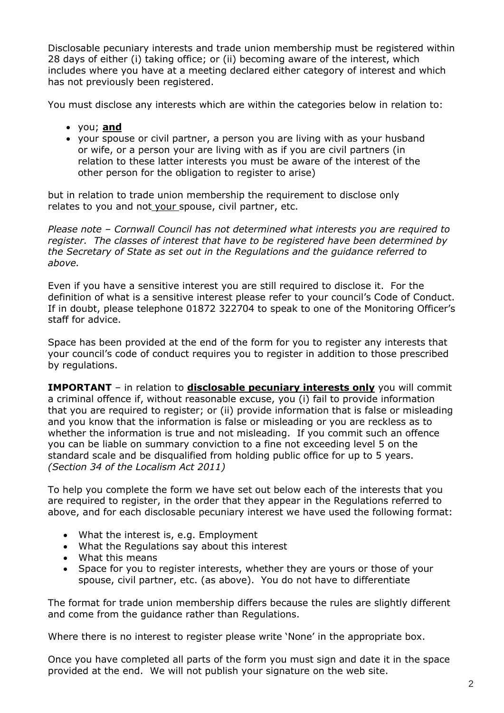Disclosable pecuniary interests and trade union membership must be registered within 28 days of either (i) taking office; or (ii) becoming aware of the interest, which includes where you have at a meeting declared either category of interest and which has not previously been registered.

You must disclose any interests which are within the categories below in relation to:

- you; **and**
- your spouse or civil partner, a person you are living with as your husband or wife, or a person your are living with as if you are civil partners (in relation to these latter interests you must be aware of the interest of the other person for the obligation to register to arise)

but in relation to trade union membership the requirement to disclose only relates to you and not your spouse, civil partner, etc.

*Please note – Cornwall Council has not determined what interests you are required to register. The classes of interest that have to be registered have been determined by the Secretary of State as set out in the Regulations and the guidance referred to above.*

Even if you have a sensitive interest you are still required to disclose it. For the definition of what is a sensitive interest please refer to your council's Code of Conduct. If in doubt, please telephone 01872 322704 to speak to one of the Monitoring Officer's staff for advice.

Space has been provided at the end of the form for you to register any interests that your council's code of conduct requires you to register in addition to those prescribed by regulations.

**IMPORTANT** – in relation to **disclosable pecuniary interests only** you will commit a criminal offence if, without reasonable excuse, you (i) fail to provide information that you are required to register; or (ii) provide information that is false or misleading and you know that the information is false or misleading or you are reckless as to whether the information is true and not misleading. If you commit such an offence you can be liable on summary conviction to a fine not exceeding level 5 on the standard scale and be disqualified from holding public office for up to 5 years. *(Section 34 of the Localism Act 2011)*

To help you complete the form we have set out below each of the interests that you are required to register, in the order that they appear in the Regulations referred to above, and for each disclosable pecuniary interest we have used the following format:

- What the interest is, e.g. Employment
- What the Regulations say about this interest
- What this means
- Space for you to register interests, whether they are yours or those of your spouse, civil partner, etc. (as above). You do not have to differentiate

The format for trade union membership differs because the rules are slightly different and come from the guidance rather than Regulations.

Where there is no interest to register please write 'None' in the appropriate box.

Once you have completed all parts of the form you must sign and date it in the space provided at the end. We will not publish your signature on the web site.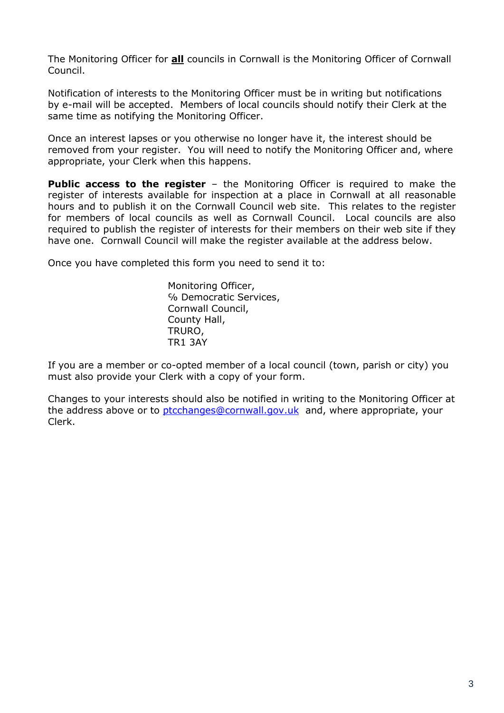The Monitoring Officer for **all** councils in Cornwall is the Monitoring Officer of Cornwall Council.

Notification of interests to the Monitoring Officer must be in writing but notifications by e-mail will be accepted. Members of local councils should notify their Clerk at the same time as notifying the Monitoring Officer.

Once an interest lapses or you otherwise no longer have it, the interest should be removed from your register. You will need to notify the Monitoring Officer and, where appropriate, your Clerk when this happens.

**Public access to the register** – the Monitoring Officer is required to make the register of interests available for inspection at a place in Cornwall at all reasonable hours and to publish it on the Cornwall Council web site. This relates to the register for members of local councils as well as Cornwall Council. Local councils are also required to publish the register of interests for their members on their web site if they have one. Cornwall Council will make the register available at the address below.

Once you have completed this form you need to send it to:

Monitoring Officer, ℅ Democratic Services, Cornwall Council, County Hall, TRURO, TR1 3AY

If you are a member or co-opted member of a local council (town, parish or city) you must also provide your Clerk with a copy of your form.

Changes to your interests should also be notified in writing to the Monitoring Officer at the address above or to [ptcchanges@cornwall.gov.uk](mailto:ptcchanges@cornwall.gov.uk) and, where appropriate, your Clerk.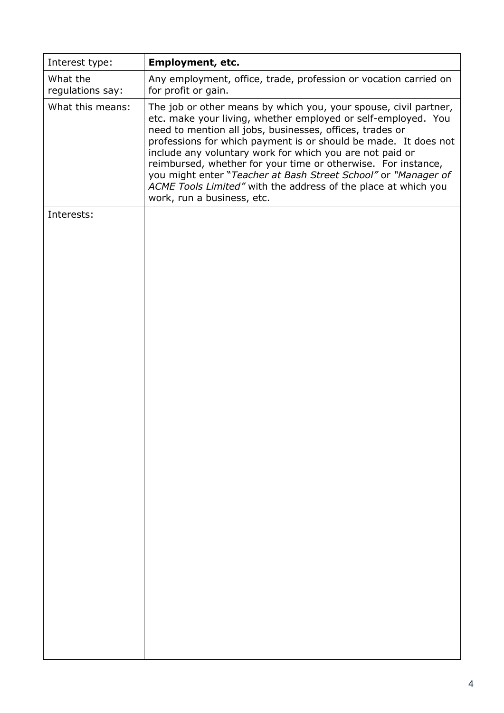| Interest type:               | <b>Employment, etc.</b>                                                                                                                                                                                                                                                                                                                                                                                                                                                                                                                                         |  |  |
|------------------------------|-----------------------------------------------------------------------------------------------------------------------------------------------------------------------------------------------------------------------------------------------------------------------------------------------------------------------------------------------------------------------------------------------------------------------------------------------------------------------------------------------------------------------------------------------------------------|--|--|
| What the<br>regulations say: | Any employment, office, trade, profession or vocation carried on<br>for profit or gain.                                                                                                                                                                                                                                                                                                                                                                                                                                                                         |  |  |
| What this means:             | The job or other means by which you, your spouse, civil partner,<br>etc. make your living, whether employed or self-employed. You<br>need to mention all jobs, businesses, offices, trades or<br>professions for which payment is or should be made. It does not<br>include any voluntary work for which you are not paid or<br>reimbursed, whether for your time or otherwise. For instance,<br>you might enter "Teacher at Bash Street School" or "Manager of<br>ACME Tools Limited" with the address of the place at which you<br>work, run a business, etc. |  |  |
| Interests:                   |                                                                                                                                                                                                                                                                                                                                                                                                                                                                                                                                                                 |  |  |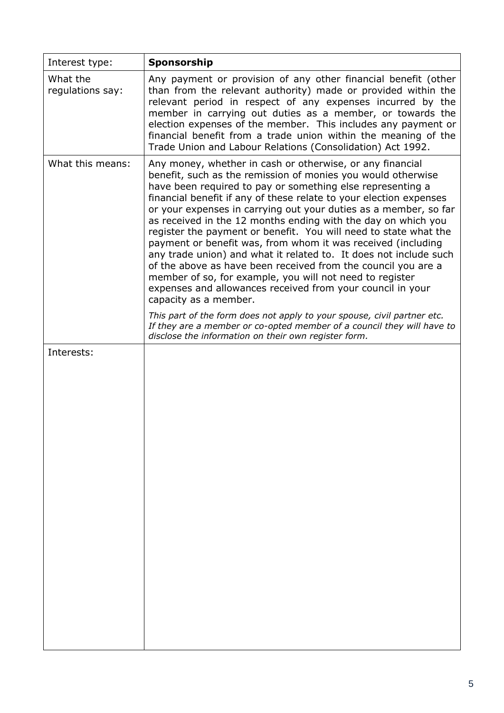| Interest type:               | Sponsorship                                                                                                                                                                                                                                                                                                                                                                                                                                                                                                                                                                                                                                                                                                                                                                                                                                                                                                                                                                                                                                  |  |  |  |
|------------------------------|----------------------------------------------------------------------------------------------------------------------------------------------------------------------------------------------------------------------------------------------------------------------------------------------------------------------------------------------------------------------------------------------------------------------------------------------------------------------------------------------------------------------------------------------------------------------------------------------------------------------------------------------------------------------------------------------------------------------------------------------------------------------------------------------------------------------------------------------------------------------------------------------------------------------------------------------------------------------------------------------------------------------------------------------|--|--|--|
| What the<br>regulations say: | Any payment or provision of any other financial benefit (other<br>than from the relevant authority) made or provided within the<br>relevant period in respect of any expenses incurred by the<br>member in carrying out duties as a member, or towards the<br>election expenses of the member. This includes any payment or<br>financial benefit from a trade union within the meaning of the<br>Trade Union and Labour Relations (Consolidation) Act 1992.                                                                                                                                                                                                                                                                                                                                                                                                                                                                                                                                                                                  |  |  |  |
| What this means:             | Any money, whether in cash or otherwise, or any financial<br>benefit, such as the remission of monies you would otherwise<br>have been required to pay or something else representing a<br>financial benefit if any of these relate to your election expenses<br>or your expenses in carrying out your duties as a member, so far<br>as received in the 12 months ending with the day on which you<br>register the payment or benefit. You will need to state what the<br>payment or benefit was, from whom it was received (including<br>any trade union) and what it related to. It does not include such<br>of the above as have been received from the council you are a<br>member of so, for example, you will not need to register<br>expenses and allowances received from your council in your<br>capacity as a member.<br>This part of the form does not apply to your spouse, civil partner etc.<br>If they are a member or co-opted member of a council they will have to<br>disclose the information on their own register form. |  |  |  |
| Interests:                   |                                                                                                                                                                                                                                                                                                                                                                                                                                                                                                                                                                                                                                                                                                                                                                                                                                                                                                                                                                                                                                              |  |  |  |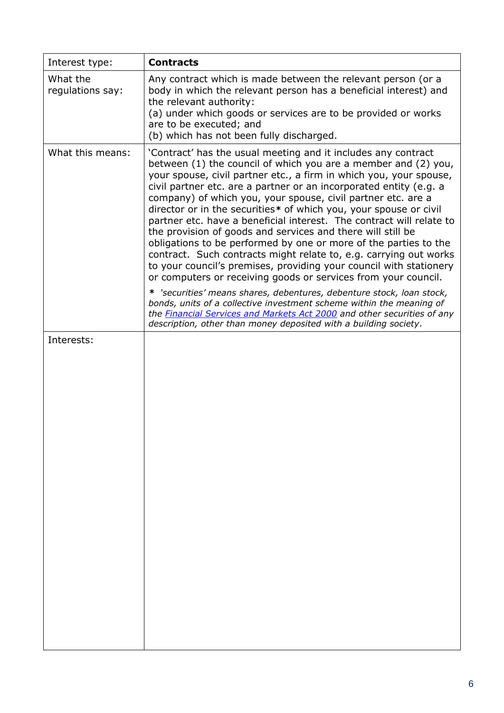| Interest type:               | <b>Contracts</b>                                                                                                                                                                                                                                                                                                                                                                                                                                                                                                                                                                                                                                                                                                                                                                                                                                                                                                                                                                                                                                                                                                                                |  |  |  |
|------------------------------|-------------------------------------------------------------------------------------------------------------------------------------------------------------------------------------------------------------------------------------------------------------------------------------------------------------------------------------------------------------------------------------------------------------------------------------------------------------------------------------------------------------------------------------------------------------------------------------------------------------------------------------------------------------------------------------------------------------------------------------------------------------------------------------------------------------------------------------------------------------------------------------------------------------------------------------------------------------------------------------------------------------------------------------------------------------------------------------------------------------------------------------------------|--|--|--|
| What the<br>regulations say: | Any contract which is made between the relevant person (or a<br>body in which the relevant person has a beneficial interest) and<br>the relevant authority:<br>(a) under which goods or services are to be provided or works<br>are to be executed; and<br>(b) which has not been fully discharged.                                                                                                                                                                                                                                                                                                                                                                                                                                                                                                                                                                                                                                                                                                                                                                                                                                             |  |  |  |
| What this means:             | 'Contract' has the usual meeting and it includes any contract<br>between (1) the council of which you are a member and (2) you,<br>your spouse, civil partner etc., a firm in which you, your spouse,<br>civil partner etc. are a partner or an incorporated entity (e.g. a<br>company) of which you, your spouse, civil partner etc. are a<br>director or in the securities* of which you, your spouse or civil<br>partner etc. have a beneficial interest. The contract will relate to<br>the provision of goods and services and there will still be<br>obligations to be performed by one or more of the parties to the<br>contract. Such contracts might relate to, e.g. carrying out works<br>to your council's premises, providing your council with stationery<br>or computers or receiving goods or services from your council.<br>* 'securities' means shares, debentures, debenture stock, loan stock,<br>bonds, units of a collective investment scheme within the meaning of<br>the <b>Financial Services and Markets Act 2000</b> and other securities of any<br>description, other than money deposited with a building society. |  |  |  |
| Interests:                   |                                                                                                                                                                                                                                                                                                                                                                                                                                                                                                                                                                                                                                                                                                                                                                                                                                                                                                                                                                                                                                                                                                                                                 |  |  |  |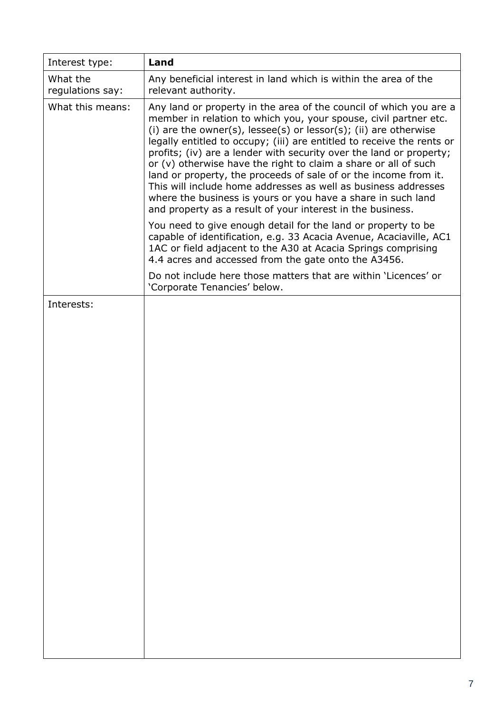| Interest type:               | Land                                                                                                                                                                                                                                                                                                                                                                                                                                                                                                                                                                                                                                                                                                       |  |  |  |
|------------------------------|------------------------------------------------------------------------------------------------------------------------------------------------------------------------------------------------------------------------------------------------------------------------------------------------------------------------------------------------------------------------------------------------------------------------------------------------------------------------------------------------------------------------------------------------------------------------------------------------------------------------------------------------------------------------------------------------------------|--|--|--|
| What the<br>regulations say: | Any beneficial interest in land which is within the area of the<br>relevant authority.                                                                                                                                                                                                                                                                                                                                                                                                                                                                                                                                                                                                                     |  |  |  |
| What this means:             | Any land or property in the area of the council of which you are a<br>member in relation to which you, your spouse, civil partner etc.<br>(i) are the owner(s), $lesse(s)$ or $lesso(r(s))$ ; (ii) are otherwise<br>legally entitled to occupy; (iii) are entitled to receive the rents or<br>profits; (iv) are a lender with security over the land or property;<br>or $(v)$ otherwise have the right to claim a share or all of such<br>land or property, the proceeds of sale of or the income from it.<br>This will include home addresses as well as business addresses<br>where the business is yours or you have a share in such land<br>and property as a result of your interest in the business. |  |  |  |
|                              | You need to give enough detail for the land or property to be<br>capable of identification, e.g. 33 Acacia Avenue, Acaciaville, AC1<br>1AC or field adjacent to the A30 at Acacia Springs comprising<br>4.4 acres and accessed from the gate onto the A3456.                                                                                                                                                                                                                                                                                                                                                                                                                                               |  |  |  |
|                              | Do not include here those matters that are within 'Licences' or<br>'Corporate Tenancies' below.                                                                                                                                                                                                                                                                                                                                                                                                                                                                                                                                                                                                            |  |  |  |
| Interests:                   |                                                                                                                                                                                                                                                                                                                                                                                                                                                                                                                                                                                                                                                                                                            |  |  |  |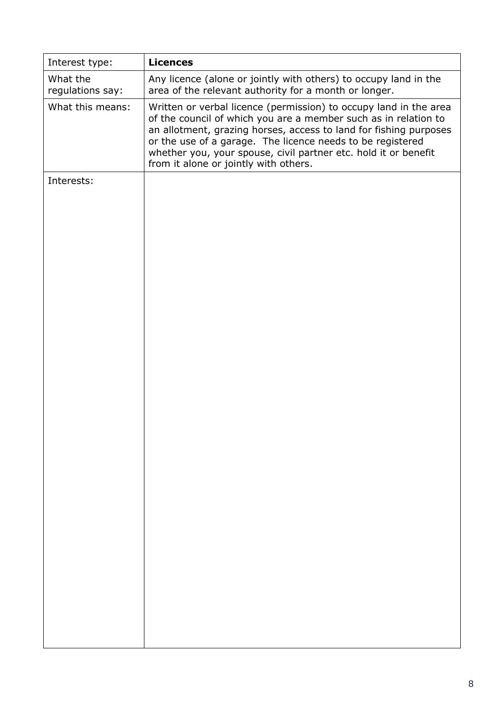| Interest type:               | <b>Licences</b>                                                                                                                                                                                                                                                                                                                                                                     |  |  |
|------------------------------|-------------------------------------------------------------------------------------------------------------------------------------------------------------------------------------------------------------------------------------------------------------------------------------------------------------------------------------------------------------------------------------|--|--|
| What the<br>regulations say: | Any licence (alone or jointly with others) to occupy land in the<br>area of the relevant authority for a month or longer.                                                                                                                                                                                                                                                           |  |  |
| What this means:             | Written or verbal licence (permission) to occupy land in the area<br>of the council of which you are a member such as in relation to<br>an allotment, grazing horses, access to land for fishing purposes<br>or the use of a garage. The licence needs to be registered<br>whether you, your spouse, civil partner etc. hold it or benefit<br>from it alone or jointly with others. |  |  |
| Interests:                   |                                                                                                                                                                                                                                                                                                                                                                                     |  |  |
|                              |                                                                                                                                                                                                                                                                                                                                                                                     |  |  |
|                              |                                                                                                                                                                                                                                                                                                                                                                                     |  |  |
|                              |                                                                                                                                                                                                                                                                                                                                                                                     |  |  |
|                              |                                                                                                                                                                                                                                                                                                                                                                                     |  |  |
|                              |                                                                                                                                                                                                                                                                                                                                                                                     |  |  |
|                              |                                                                                                                                                                                                                                                                                                                                                                                     |  |  |
|                              |                                                                                                                                                                                                                                                                                                                                                                                     |  |  |
|                              |                                                                                                                                                                                                                                                                                                                                                                                     |  |  |
|                              |                                                                                                                                                                                                                                                                                                                                                                                     |  |  |
|                              |                                                                                                                                                                                                                                                                                                                                                                                     |  |  |
|                              |                                                                                                                                                                                                                                                                                                                                                                                     |  |  |
|                              |                                                                                                                                                                                                                                                                                                                                                                                     |  |  |
|                              |                                                                                                                                                                                                                                                                                                                                                                                     |  |  |
|                              |                                                                                                                                                                                                                                                                                                                                                                                     |  |  |
|                              |                                                                                                                                                                                                                                                                                                                                                                                     |  |  |
|                              |                                                                                                                                                                                                                                                                                                                                                                                     |  |  |
|                              |                                                                                                                                                                                                                                                                                                                                                                                     |  |  |
|                              |                                                                                                                                                                                                                                                                                                                                                                                     |  |  |
|                              |                                                                                                                                                                                                                                                                                                                                                                                     |  |  |
|                              |                                                                                                                                                                                                                                                                                                                                                                                     |  |  |
|                              |                                                                                                                                                                                                                                                                                                                                                                                     |  |  |
|                              |                                                                                                                                                                                                                                                                                                                                                                                     |  |  |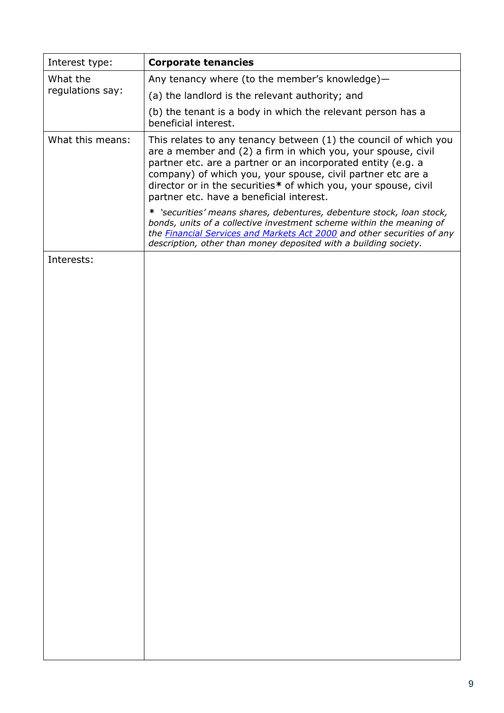| Interest type:   | <b>Corporate tenancies</b>                                                                                                                                                                                                                                                                                                                                                     |  |  |
|------------------|--------------------------------------------------------------------------------------------------------------------------------------------------------------------------------------------------------------------------------------------------------------------------------------------------------------------------------------------------------------------------------|--|--|
| What the         | Any tenancy where (to the member's knowledge)-                                                                                                                                                                                                                                                                                                                                 |  |  |
| regulations say: | (a) the landlord is the relevant authority; and                                                                                                                                                                                                                                                                                                                                |  |  |
|                  | (b) the tenant is a body in which the relevant person has a<br>beneficial interest.                                                                                                                                                                                                                                                                                            |  |  |
| What this means: | This relates to any tenancy between (1) the council of which you<br>are a member and (2) a firm in which you, your spouse, civil<br>partner etc. are a partner or an incorporated entity (e.g. a<br>company) of which you, your spouse, civil partner etc are a<br>director or in the securities* of which you, your spouse, civil<br>partner etc. have a beneficial interest. |  |  |
|                  | * 'securities' means shares, debentures, debenture stock, loan stock,<br>bonds, units of a collective investment scheme within the meaning of<br>the <b>Financial Services and Markets Act 2000</b> and other securities of any<br>description, other than money deposited with a building society.                                                                            |  |  |
| Interests:       |                                                                                                                                                                                                                                                                                                                                                                                |  |  |
|                  |                                                                                                                                                                                                                                                                                                                                                                                |  |  |
|                  |                                                                                                                                                                                                                                                                                                                                                                                |  |  |
|                  |                                                                                                                                                                                                                                                                                                                                                                                |  |  |
|                  |                                                                                                                                                                                                                                                                                                                                                                                |  |  |
|                  |                                                                                                                                                                                                                                                                                                                                                                                |  |  |
|                  |                                                                                                                                                                                                                                                                                                                                                                                |  |  |
|                  |                                                                                                                                                                                                                                                                                                                                                                                |  |  |
|                  |                                                                                                                                                                                                                                                                                                                                                                                |  |  |
|                  |                                                                                                                                                                                                                                                                                                                                                                                |  |  |
|                  |                                                                                                                                                                                                                                                                                                                                                                                |  |  |
|                  |                                                                                                                                                                                                                                                                                                                                                                                |  |  |
|                  |                                                                                                                                                                                                                                                                                                                                                                                |  |  |
|                  |                                                                                                                                                                                                                                                                                                                                                                                |  |  |
|                  |                                                                                                                                                                                                                                                                                                                                                                                |  |  |
|                  |                                                                                                                                                                                                                                                                                                                                                                                |  |  |
|                  |                                                                                                                                                                                                                                                                                                                                                                                |  |  |
|                  |                                                                                                                                                                                                                                                                                                                                                                                |  |  |
|                  |                                                                                                                                                                                                                                                                                                                                                                                |  |  |
|                  |                                                                                                                                                                                                                                                                                                                                                                                |  |  |
|                  |                                                                                                                                                                                                                                                                                                                                                                                |  |  |
|                  |                                                                                                                                                                                                                                                                                                                                                                                |  |  |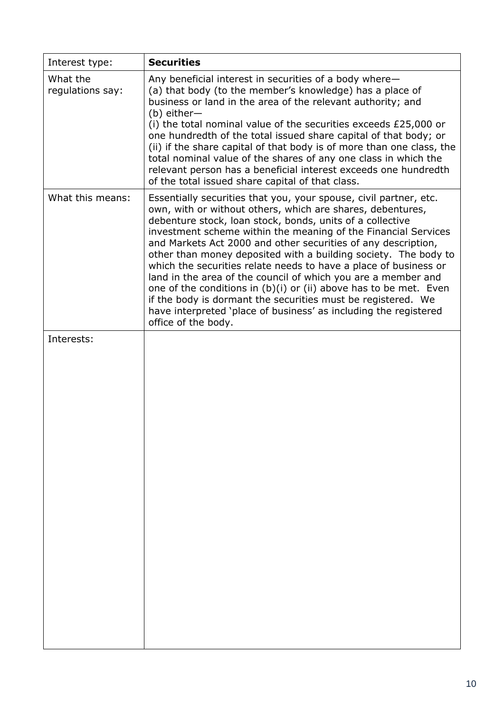| <b>Securities</b>                                                                                                                                                                                                                                                                                                                                                                                                                                                                                                                                                                                                                                                                                                                                                         |  |  |  |
|---------------------------------------------------------------------------------------------------------------------------------------------------------------------------------------------------------------------------------------------------------------------------------------------------------------------------------------------------------------------------------------------------------------------------------------------------------------------------------------------------------------------------------------------------------------------------------------------------------------------------------------------------------------------------------------------------------------------------------------------------------------------------|--|--|--|
| Any beneficial interest in securities of a body where-<br>(a) that body (to the member's knowledge) has a place of<br>business or land in the area of the relevant authority; and<br>$(b)$ either-                                                                                                                                                                                                                                                                                                                                                                                                                                                                                                                                                                        |  |  |  |
| (i) the total nominal value of the securities exceeds £25,000 or<br>one hundredth of the total issued share capital of that body; or<br>(ii) if the share capital of that body is of more than one class, the<br>total nominal value of the shares of any one class in which the<br>relevant person has a beneficial interest exceeds one hundredth<br>of the total issued share capital of that class.                                                                                                                                                                                                                                                                                                                                                                   |  |  |  |
| Essentially securities that you, your spouse, civil partner, etc.<br>own, with or without others, which are shares, debentures,<br>debenture stock, loan stock, bonds, units of a collective<br>investment scheme within the meaning of the Financial Services<br>and Markets Act 2000 and other securities of any description,<br>other than money deposited with a building society. The body to<br>which the securities relate needs to have a place of business or<br>land in the area of the council of which you are a member and<br>one of the conditions in $(b)(i)$ or (ii) above has to be met. Even<br>if the body is dormant the securities must be registered. We<br>have interpreted 'place of business' as including the registered<br>office of the body. |  |  |  |
|                                                                                                                                                                                                                                                                                                                                                                                                                                                                                                                                                                                                                                                                                                                                                                           |  |  |  |
|                                                                                                                                                                                                                                                                                                                                                                                                                                                                                                                                                                                                                                                                                                                                                                           |  |  |  |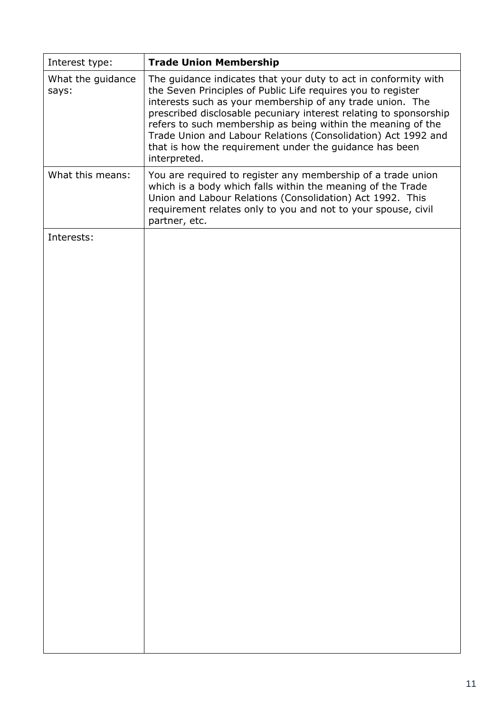| Interest type:             | <b>Trade Union Membership</b>                                                                                                                                                                                                                                                                                                                                                                                                                                                 |
|----------------------------|-------------------------------------------------------------------------------------------------------------------------------------------------------------------------------------------------------------------------------------------------------------------------------------------------------------------------------------------------------------------------------------------------------------------------------------------------------------------------------|
| What the guidance<br>says: | The guidance indicates that your duty to act in conformity with<br>the Seven Principles of Public Life requires you to register<br>interests such as your membership of any trade union. The<br>prescribed disclosable pecuniary interest relating to sponsorship<br>refers to such membership as being within the meaning of the<br>Trade Union and Labour Relations (Consolidation) Act 1992 and<br>that is how the requirement under the guidance has been<br>interpreted. |
| What this means:           | You are required to register any membership of a trade union<br>which is a body which falls within the meaning of the Trade<br>Union and Labour Relations (Consolidation) Act 1992. This<br>requirement relates only to you and not to your spouse, civil<br>partner, etc.                                                                                                                                                                                                    |
| Interests:                 |                                                                                                                                                                                                                                                                                                                                                                                                                                                                               |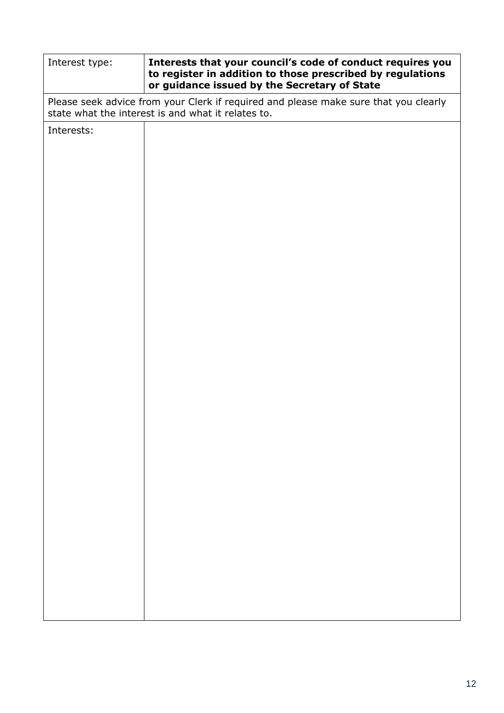| Interest type:                                                                                                                             | Interests that your council's code of conduct requires you<br>to register in addition to those prescribed by regulations<br>or guidance issued by the Secretary of State |  |  |
|--------------------------------------------------------------------------------------------------------------------------------------------|--------------------------------------------------------------------------------------------------------------------------------------------------------------------------|--|--|
| Please seek advice from your Clerk if required and please make sure that you clearly<br>state what the interest is and what it relates to. |                                                                                                                                                                          |  |  |
| Interests:                                                                                                                                 |                                                                                                                                                                          |  |  |
|                                                                                                                                            |                                                                                                                                                                          |  |  |
|                                                                                                                                            |                                                                                                                                                                          |  |  |